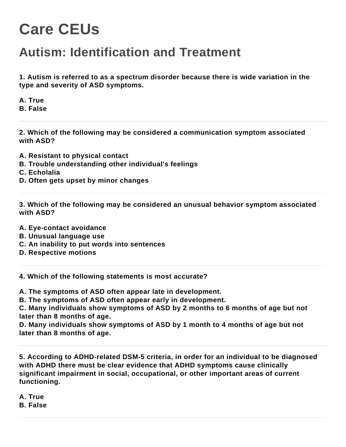## **Care CEUs**

## **Autism: Identification and Treatment**

**1. Autism is referred to as a spectrum disorder because there is wide variation in the type and severity of ASD symptoms.**

**A. True B. False**

**2. Which of the following may be considered a communication symptom associated with ASD?**

- **A. Resistant to physical contact**
- **B. Trouble understanding other individual's feelings**
- **C. Echolalia**
- **D. Often gets upset by minor changes**

**3. Which of the following may be considered an unusual behavior symptom associated with ASD?**

- **A. Eye-contact avoidance**
- **B. Unusual language use**
- **C. An inability to put words into sentences**
- **D. Respective motions**

**4. Which of the following statements is most accurate?**

**A. The symptoms of ASD often appear late in development.**

**B. The symptoms of ASD often appear early in development.**

**C. Many individuals show symptoms of ASD by 2 months to 6 months of age but not later than 8 months of age.**

**D. Many individuals show symptoms of ASD by 1 month to 4 months of age but not later than 8 months of age.**

**5. According to ADHD-related DSM-5 criteria, in order for an individual to be diagnosed with ADHD there must be clear evidence that ADHD symptoms cause clinically significant impairment in social, occupational, or other important areas of current functioning.**

**A. True B. False**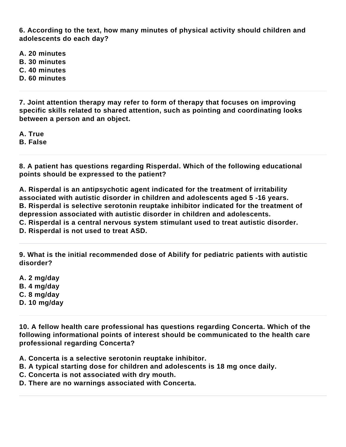**6. According to the text, how many minutes of physical activity should children and adolescents do each day?**

**A. 20 minutes**

- **B. 30 minutes**
- **C. 40 minutes**
- **D. 60 minutes**

**7. Joint attention therapy may refer to form of therapy that focuses on improving specific skills related to shared attention, such as pointing and coordinating looks between a person and an object.**

**A. True B. False**

**8. A patient has questions regarding Risperdal. Which of the following educational points should be expressed to the patient?**

**A. Risperdal is an antipsychotic agent indicated for the treatment of irritability associated with autistic disorder in children and adolescents aged 5 -16 years. B. Risperdal is selective serotonin reuptake inhibitor indicated for the treatment of depression associated with autistic disorder in children and adolescents. C. Risperdal is a central nervous system stimulant used to treat autistic disorder.**

**D. Risperdal is not used to treat ASD.**

**9. What is the initial recommended dose of Abilify for pediatric patients with autistic disorder?**

**A. 2 mg/day B. 4 mg/day C. 8 mg/day D. 10 mg/day**

**10. A fellow health care professional has questions regarding Concerta. Which of the following informational points of interest should be communicated to the health care professional regarding Concerta?**

**A. Concerta is a selective serotonin reuptake inhibitor.**

- **B. A typical starting dose for children and adolescents is 18 mg once daily.**
- **C. Concerta is not associated with dry mouth.**
- **D. There are no warnings associated with Concerta.**